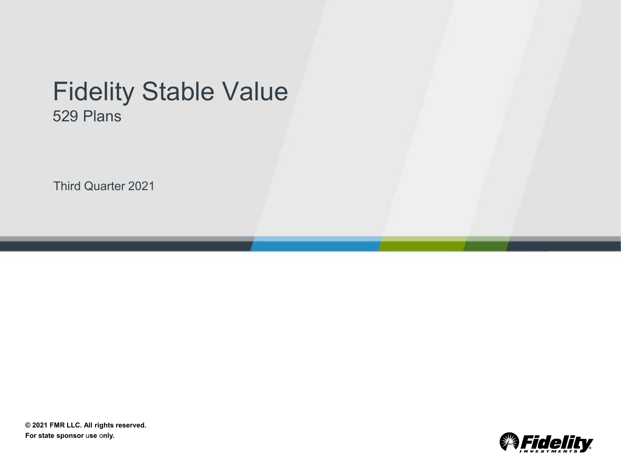# Fidelity Stable Value 529 Plans

Third Quarter 2021

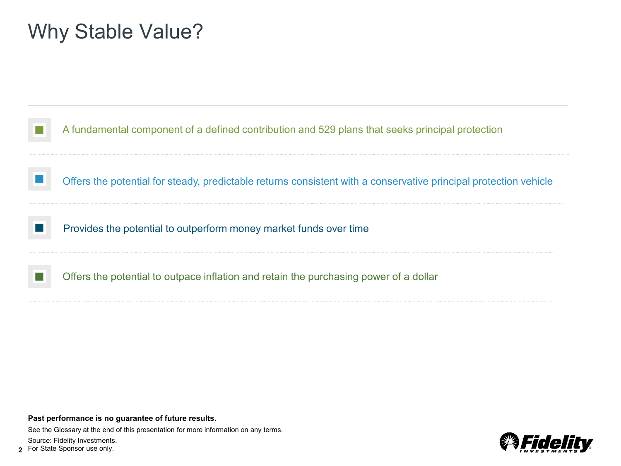# Why Stable Value?



**Past performance is no guarantee of future results.**

**2**

See the Glossary at the end of this presentation for more information on any terms. Source: Fidelity Investments. For State Sponsor use only.

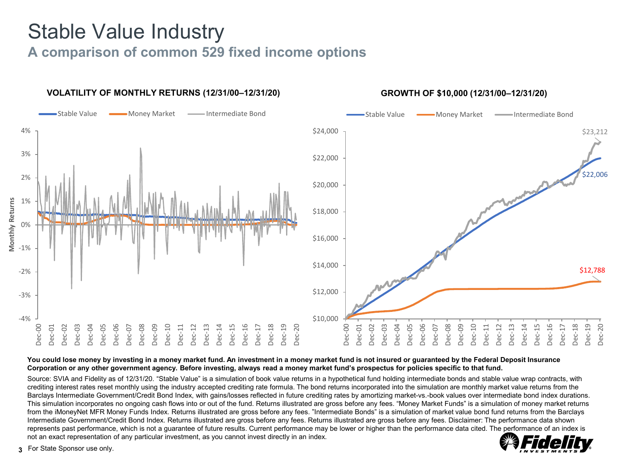# Stable Value Industry

## **A comparison of common 529 fixed income options**



#### You could lose money by investing in a money market fund. An investment in a money market fund is not insured or guaranteed by the Federal Deposit Insurance **Corporation or any other government agency. Before investing, always read a money market fund's prospectus for policies specific to that fund.**

Source: SVIA and Fidelity as of 12/31/20. "Stable Value" is a simulation of book value returns in a hypothetical fund holding intermediate bonds and stable value wrap contracts, with crediting interest rates reset monthly using the industry accepted crediting rate formula. The bond returns incorporated into the simulation are monthly market value returns from the Barclays Intermediate Government/Credit Bond Index, with gains/losses reflected in future crediting rates by amortizing market-vs.-book values over intermediate bond index durations. This simulation incorporates no ongoing cash flows into or out of the fund. Returns illustrated are gross before any fees. "Money Market Funds" is a simulation of money market returns from the iMoneyNet MFR Money Funds Index. Returns illustrated are gross before any fees. "Intermediate Bonds" is a simulation of market value bond fund returns from the Barclays Intermediate Government/Credit Bond Index. Returns illustrated are gross before any fees. Returns illustrated are gross before any fees. Disclaimer: The performance data shown represents past performance, which is not a guarantee of future results. Current performance may be lower or higher than the performance data cited. The performance of an index is not an exact representation of any particular investment, as you cannot invest directly in an index.

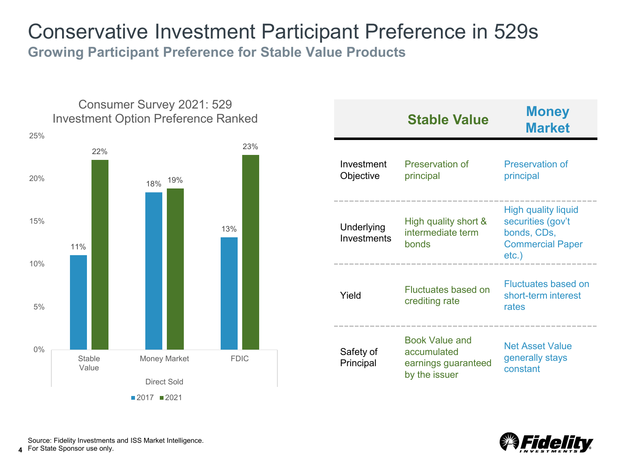## Conservative Investment Participant Preference in 529s **Growing Participant Preference for Stable Value Products**



|                           | <b>Stable Value</b>                                                          | <b>Money</b><br><b>Market</b>                                                                      |
|---------------------------|------------------------------------------------------------------------------|----------------------------------------------------------------------------------------------------|
| Investment<br>Objective   | Preservation of<br>principal                                                 | Preservation of<br>principal                                                                       |
| Underlying<br>Investments | High quality short &<br>intermediate term<br>bonds                           | <b>High quality liquid</b><br>securities (gov't<br>bonds, CDs,<br><b>Commercial Paper</b><br>etc.) |
| Yield                     | <b>Fluctuates based on</b><br>crediting rate                                 | Fluctuates based on<br>short-term interest<br>rates                                                |
| Safety of<br>Principal    | <b>Book Value and</b><br>accumulated<br>earnings guaranteed<br>by the issuer | <b>Net Asset Value</b><br>generally stays<br>constant                                              |



**4** Source: Fidelity Investments and ISS Market Intelligence. For State Sponsor use only.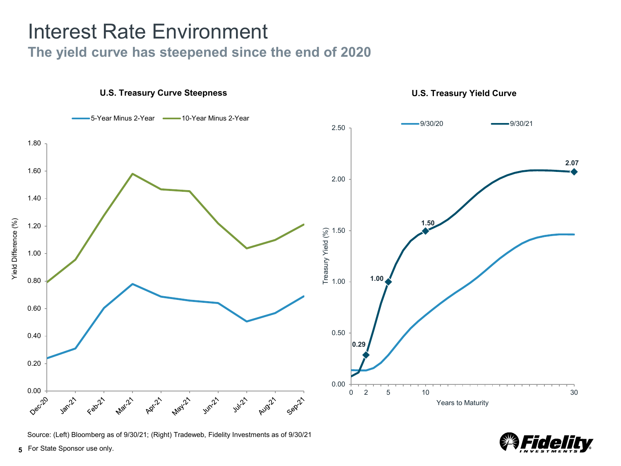# Interest Rate Environment

## **The yield curve has steepened since the end of 2020**



Source: (Left) Bloomberg as of 9/30/21; (Right) Tradeweb, Fidelity Investments as of 9/30/21

de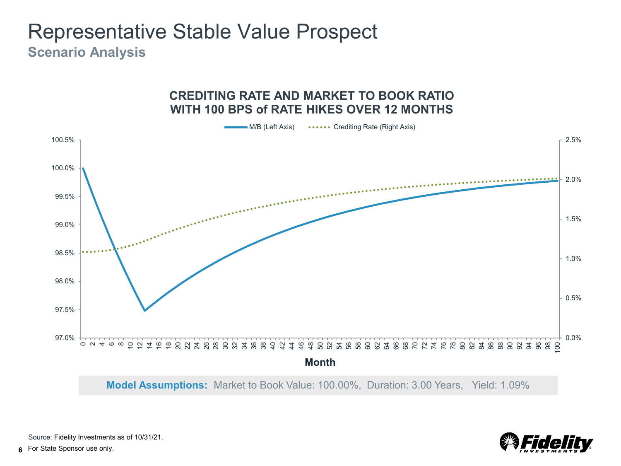## Representative Stable Value Prospect **Scenario Analysis**



**CREDITING RATE AND MARKET TO BOOK RATIO** 

**Model Assumptions:** Market to Book Value: 100.00%, Duration: 3.00 Years, Yield: 1.09%



Source: Fidelity Investments as of 10/31/21.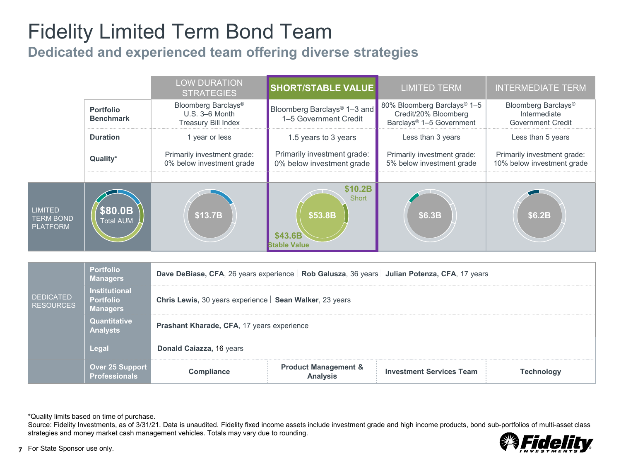# Fidelity Limited Term Bond Team

**Dedicated and experienced team offering diverse strategies**

|                                                       |                                                             | <b>LOW DURATION</b><br><b>STRATEGIES</b>                                                       | <b>SHORT/STABLE VALUE</b>                                        | <b>LIMITED TERM</b>                                                                         | <b>INTERMEDIATE TERM</b>                                        |  |  |  |  |
|-------------------------------------------------------|-------------------------------------------------------------|------------------------------------------------------------------------------------------------|------------------------------------------------------------------|---------------------------------------------------------------------------------------------|-----------------------------------------------------------------|--|--|--|--|
|                                                       | Portfolio<br><b>Benchmark</b>                               | Bloomberg Barclays®<br>U.S. 3-6 Month<br><b>Treasury Bill Index</b>                            | Bloomberg Barclays <sup>®</sup> 1-3 and<br>1-5 Government Credit | 80% Bloomberg Barclays® 1-5<br>Credit/20% Bloomberg<br>Barclays <sup>®</sup> 1-5 Government | Bloomberg Barclays®<br>Intermediate<br><b>Government Credit</b> |  |  |  |  |
|                                                       | <b>Duration</b>                                             | 1 year or less                                                                                 | 1.5 years to 3 years                                             | Less than 3 years                                                                           | Less than 5 years                                               |  |  |  |  |
|                                                       | Quality*                                                    | Primarily investment grade:<br>0% below investment grade                                       | Primarily investment grade:<br>0% below investment grade         | Primarily investment grade:<br>5% below investment grade                                    | Primarily investment grade:<br>10% below investment grade       |  |  |  |  |
| <b>LIMITED</b><br><b>TERM BOND</b><br><b>PLATFORM</b> | \$80.0B<br><b>Total AUM</b>                                 | \$13.7B                                                                                        | \$10.2B<br>Short<br>\$53.8B<br>\$43.6B<br><b>Stable Value</b>    | \$6.3B                                                                                      | \$6.2B                                                          |  |  |  |  |
|                                                       | <b>Portfolio</b>                                            |                                                                                                |                                                                  |                                                                                             |                                                                 |  |  |  |  |
|                                                       | <b>Managers</b>                                             | Dave DeBiase, CFA, 26 years experience   Rob Galusza, 36 years   Julian Potenza, CFA, 17 years |                                                                  |                                                                                             |                                                                 |  |  |  |  |
| <b>DEDICATED</b><br><b>RESOURCES</b>                  | <b>Institutional</b><br><b>Portfolio</b><br><b>Managers</b> | Chris Lewis, 30 years experience   Sean Walker, 23 years                                       |                                                                  |                                                                                             |                                                                 |  |  |  |  |
|                                                       | Quantitative<br><b>Analysts</b>                             | Prashant Kharade, CFA, 17 years experience                                                     |                                                                  |                                                                                             |                                                                 |  |  |  |  |
|                                                       | Legal                                                       | Donald Caiazza, 16 years                                                                       |                                                                  |                                                                                             |                                                                 |  |  |  |  |
|                                                       | Over 25 Support<br><b>Professionals</b>                     | Compliance                                                                                     | <b>Product Management &amp;</b><br><b>Analysis</b>               | <b>Investment Services Team</b>                                                             | <b>Technology</b>                                               |  |  |  |  |

\*Quality limits based on time of purchase.

Source: Fidelity Investments, as of 3/31/21. Data is unaudited. Fidelity fixed income assets include investment grade and high income products, bond sub-portfolios of multi-asset class strategies and money market cash management vehicles. Totals may vary due to rounding.

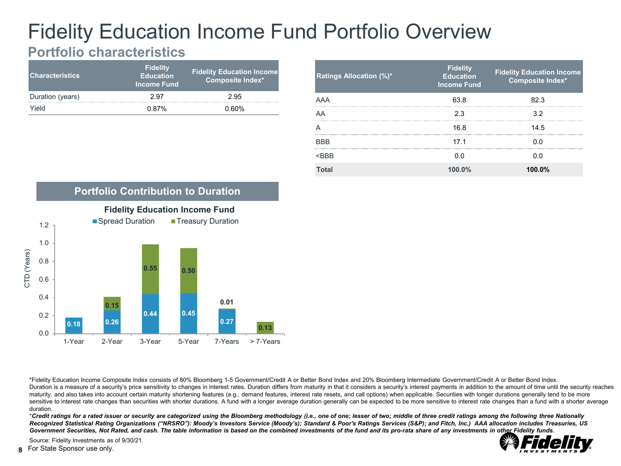# Fidelity Education Income Fund Portfolio Overview

## **Portfolio characteristics**

| <b>Characteristics</b> | <b>Fidelity</b><br><b>Education</b><br><b>Income Fund</b> | <b>Fidelity Education Income</b><br>Composite Index* |
|------------------------|-----------------------------------------------------------|------------------------------------------------------|
| Duration (years)       | 2.97                                                      | 2.95                                                 |
| Yield                  | 0.87%                                                     | $0.60\%$                                             |

| <b>Ratings Allocation (%)*</b> | <b>Fidelity</b><br><b>Education</b><br><b>Income Fund</b> | <b>Fidelity Education Income</b><br>Composite Index* |
|--------------------------------|-----------------------------------------------------------|------------------------------------------------------|
| AAA                            | 63.8                                                      | 823                                                  |
| AA                             | 2.3                                                       | 3.2                                                  |
|                                | 16.8                                                      | 14.5                                                 |
| <b>BBB</b>                     | 17 <sub>1</sub>                                           | 0 O                                                  |
| $<$ RRR                        | 0 <sub>0</sub>                                            | 0 O                                                  |
| <b>Total</b>                   | 100.0%                                                    | 100.0%                                               |



\*Fidelity Education Income Composite Index consists of 80% Bloomberg 1-5 Government/Credit A or Better Bond Index and 20% Bloomberg Intermediate Government/Credit A or Better Bond Index. Duration is a measure of a security's price sensitivity to changes in interest rates. Duration differs from maturity in that it considers a security's interest payments in addition to the amount of time until the security maturity, and also takes into account certain maturity shortening features (e.g., demand features, interest rate resets, and call options) when applicable. Securities with longer durations generally tend to be more sensitive to interest rate changes than securities with shorter durations. A fund with a longer average duration generally can be expected to be more sensitive to interest rate changes than a fund with a shorter average duration.

\**Credit ratings for a rated issuer or security are categorized using the Bloomberg methodology (i.e., one of one; lesser of two; middle of three credit ratings among the following three Nationally Recognized Statistical Rating Organizations ("NRSRO"): Moody's Investors Service (Moody's); Standard & Poor's Ratings Services (S&P); and Fitch, Inc.) AAA allocation includes Treasuries, US*  Government Securities, Not Rated, and cash. The table information is based on the combined investments of the fund and its pro-rata share of any investments in other Fidelity funds.



Source: Fidelity Investments as of 9/30/21.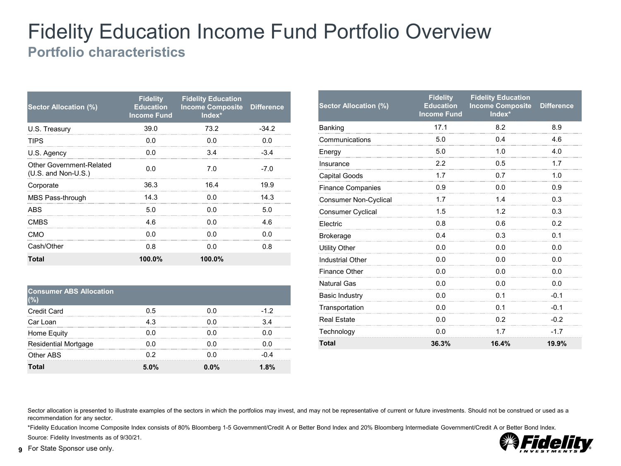## Fidelity Education Income Fund Portfolio Overview **Portfolio characteristics**

| Sector Allocation (%)                             | <b>Fidelity</b><br><b>Education</b><br><b>Income Fund</b> | <b>Fidelity Education</b><br><b>Income Composite Difference</b><br>$Index*$ |         |
|---------------------------------------------------|-----------------------------------------------------------|-----------------------------------------------------------------------------|---------|
| U.S. Treasury                                     | 39.0                                                      | 73.2                                                                        | $-34.2$ |
| TIPS                                              | 0 O                                                       | 0 O                                                                         | 0 O     |
| U.S. Agency                                       | 0.0                                                       | 3.4                                                                         | $-34$   |
| Other Government-Related<br>$(U.S.$ and Non-U.S.) | 0 <sub>0</sub>                                            | 7.0                                                                         | $-7.0$  |
| Corporate                                         | 36.3                                                      | 164                                                                         | 19.9    |
| MBS Pass-through                                  | 14.3                                                      | 0.0                                                                         | 14.3    |
| <b>ABS</b>                                        | 5.0                                                       | n n                                                                         | 5.0     |
| <b>CMBS</b>                                       | 46                                                        | 0 O                                                                         | 46      |
| CMO                                               | 0 O                                                       | 0 O                                                                         | 0 O     |
| Cash/Other                                        | 0 8                                                       | 0 O                                                                         | 0.8     |
| Total                                             | 100.0%                                                    | 100.0%                                                                      |         |

| <b>Consumer ABS Allocation</b> |       |      |       |
|--------------------------------|-------|------|-------|
| <b>Credit Card</b>             | ი 5   | ი ი  | $-12$ |
| Car Loan                       |       |      |       |
| Home Equity                    |       | ი ი  |       |
| <b>Residential Mortgage</b>    |       |      |       |
| Other ABS                      |       |      |       |
| Total                          | 5. በ% | በ በ% | 8%    |

| <b>Sector Allocation (%)</b> | <b>Fidelity</b><br><b>Education</b><br><b>Income Fund</b> | <b>Fidelity Education</b><br><b>Income Composite</b><br>Index* | <b>Difference</b> |
|------------------------------|-----------------------------------------------------------|----------------------------------------------------------------|-------------------|
| Banking                      | 17.1                                                      | 8.2                                                            | 8.9               |
| Communications               | 5.0                                                       | 0.4                                                            | 4.6               |
| Energy                       | 5.0                                                       | 1.0                                                            | 4.0               |
| Insurance                    | 2.2                                                       | 0.5                                                            | 1.7               |
| <b>Capital Goods</b>         | 1.7                                                       | 0.7                                                            | 1.0               |
| <b>Finance Companies</b>     | 0.9                                                       | 0.0                                                            | 0.9               |
| <b>Consumer Non-Cyclical</b> | 1.7                                                       | 1.4                                                            | 0.3               |
| Consumer Cyclical            | 1.5                                                       | 1.2                                                            | 0.3               |
| Electric                     | 0.8                                                       | 0.6                                                            | 0.2               |
| <b>Brokerage</b>             | 0.4                                                       | 0.3                                                            | 0.1               |
| <b>Utility Other</b>         | 0.0                                                       | 0.0                                                            | 0.0               |
| <b>Industrial Other</b>      | 0.0                                                       | 0.0                                                            | 0.0               |
| <b>Finance Other</b>         | 0.0                                                       | 0.0                                                            | 0.0               |
| <b>Natural Gas</b>           | 0.0                                                       | 0.0                                                            | 0.0               |
| <b>Basic Industry</b>        | 0.0                                                       | 0.1                                                            | $-0.1$            |
| Transportation               | 0.0                                                       | 0.1                                                            | $-0.1$            |
| <b>Real Estate</b>           | 0.0                                                       | 0.2                                                            | $-0.2$            |
| Technology                   | 0.0                                                       | 1.7                                                            | $-1.7$            |
| <b>Total</b>                 | 36.3%                                                     | 16.4%                                                          | 19.9%             |

Sector allocation is presented to illustrate examples of the sectors in which the portfolios may invest, and may not be representative of current or future investments. Should not be construed or used as a recommendation for any sector.

\*Fidelity Education Income Composite Index consists of 80% Bloomberg 1-5 Government/Credit A or Better Bond Index and 20% Bloomberg Intermediate Government/Credit A or Better Bond Index. Source: Fidelity Investments as of 9/30/21.

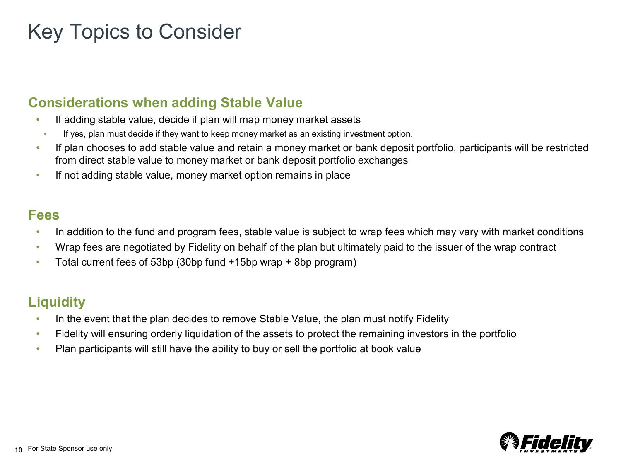# Key Topics to Consider

## **Considerations when adding Stable Value**

- If adding stable value, decide if plan will map money market assets
- If yes, plan must decide if they want to keep money market as an existing investment option.
- If plan chooses to add stable value and retain a money market or bank deposit portfolio, participants will be restricted from direct stable value to money market or bank deposit portfolio exchanges
- If not adding stable value, money market option remains in place

## **Fees**

- In addition to the fund and program fees, stable value is subject to wrap fees which may vary with market conditions
- Wrap fees are negotiated by Fidelity on behalf of the plan but ultimately paid to the issuer of the wrap contract
- Total current fees of 53bp (30bp fund +15bp wrap + 8bp program)

## **Liquidity**

- In the event that the plan decides to remove Stable Value, the plan must notify Fidelity
- Fidelity will ensuring orderly liquidation of the assets to protect the remaining investors in the portfolio
- Plan participants will still have the ability to buy or sell the portfolio at book value

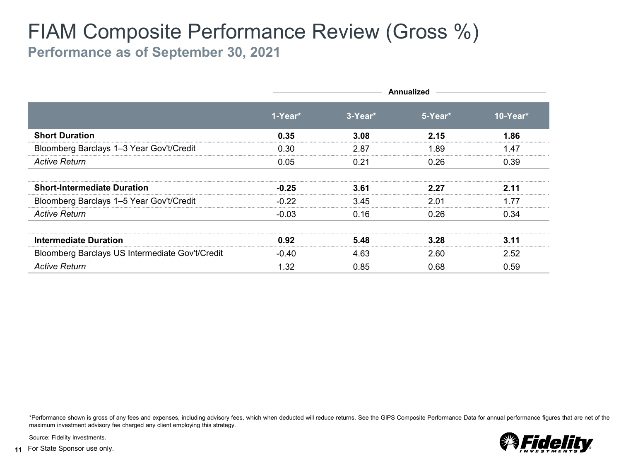# FIAM Composite Performance Review (Gross %)

**Performance as of September 30, 2021**

|                                                 |         | <b>Annualized</b> |         |            |  |  |  |  |
|-------------------------------------------------|---------|-------------------|---------|------------|--|--|--|--|
|                                                 | 1-Year* | $3-Year*$         | 5-Year* | $10-Year*$ |  |  |  |  |
| <b>Short Duration</b>                           | 0.35    | 3.08              | 2.15    | 1.86       |  |  |  |  |
| Bloomberg Barclays 1-3 Year Gov't/Credit        | 0.30    | 2.87              | 1.89    | 1.47       |  |  |  |  |
| <b>Active Return</b>                            | 0.05    | 0.21              | 0.26    | 0.39       |  |  |  |  |
| <b>Short-Intermediate Duration</b>              | $-0.25$ | 3.61              | 2 27    | 2.11       |  |  |  |  |
| Bloomberg Barclays 1-5 Year Gov't/Credit        | $-0.22$ | 3.45              | 2.01    | 1.77       |  |  |  |  |
| <b>Active Return</b>                            | $-0.03$ | 0.16              | 0.26    | 0.34       |  |  |  |  |
| Intermediate Duration                           | 0.92    | 5.48              |         |            |  |  |  |  |
| Bloomberg Barclays US Intermediate Gov't/Credit | $-0.40$ | 4.63              | 2.60    | 2.52       |  |  |  |  |
| <b>Active Return</b>                            | 1.32    | 0.85              | 0.68    | 0.59       |  |  |  |  |

\*Performance shown is gross of any fees and expenses, including advisory fees, which when deducted will reduce returns. See the GIPS Composite Performance Data for annual performance figures that are net of the maximum investment advisory fee charged any client employing this strategy.



Source: Fidelity Investments.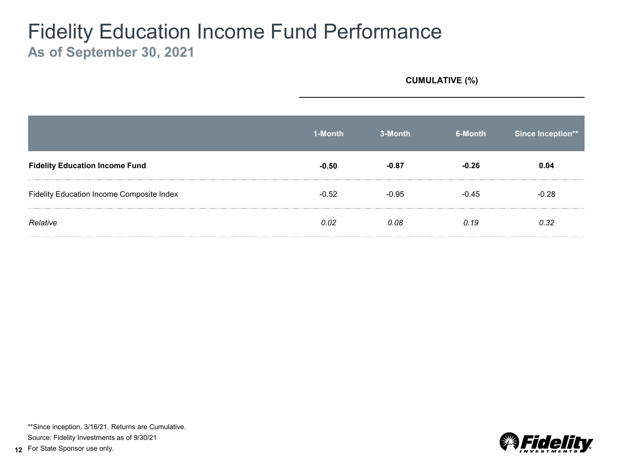## Fidelity Education Income Fund Performance **As of September 30, 2021**

**CUMULATIVE (%)**

|                                           | 1-Month | 3-Month | 6-Month | Since Inception** |
|-------------------------------------------|---------|---------|---------|-------------------|
| <b>Fidelity Education Income Fund</b>     | $-0.50$ |         |         | 0.04              |
| Fidelity Education Income Composite Index | $-0.52$ | በ ዓ5    | -0.45   | $-0.28$           |
| Relative                                  | 0.02    | 0.08.   | N 19    | 0.32              |

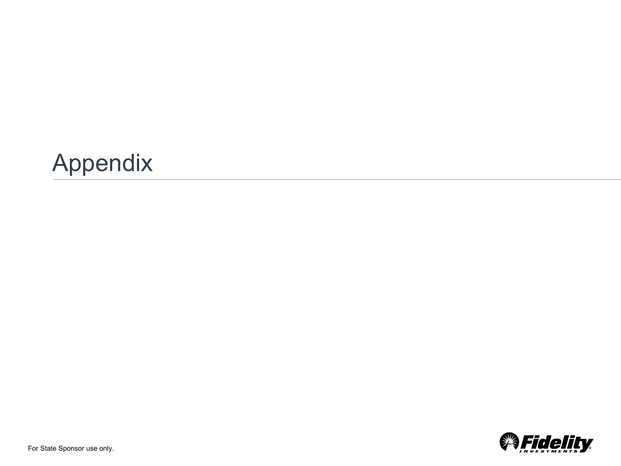

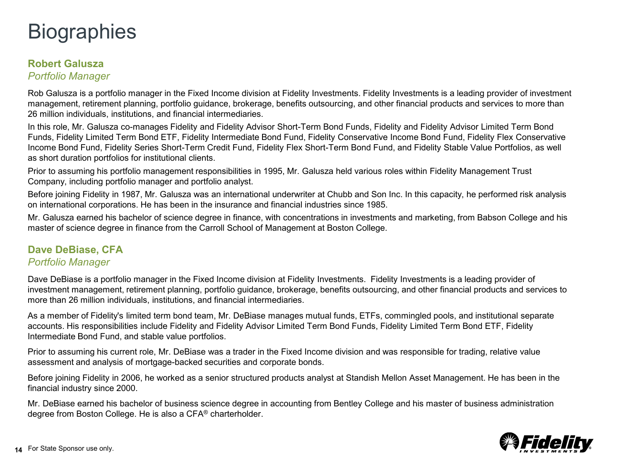# **Biographies**

## **Robert Galusza**

*Portfolio Manager*

Rob Galusza is a portfolio manager in the Fixed Income division at Fidelity Investments. Fidelity Investments is a leading provider of investment management, retirement planning, portfolio guidance, brokerage, benefits outsourcing, and other financial products and services to more than 26 million individuals, institutions, and financial intermediaries.

In this role, Mr. Galusza co-manages Fidelity and Fidelity Advisor Short-Term Bond Funds, Fidelity and Fidelity Advisor Limited Term Bond Funds, Fidelity Limited Term Bond ETF, Fidelity Intermediate Bond Fund, Fidelity Conservative Income Bond Fund, Fidelity Flex Conservative Income Bond Fund, Fidelity Series Short-Term Credit Fund, Fidelity Flex Short-Term Bond Fund, and Fidelity Stable Value Portfolios, as well as short duration portfolios for institutional clients.

Prior to assuming his portfolio management responsibilities in 1995, Mr. Galusza held various roles within Fidelity Management Trust Company, including portfolio manager and portfolio analyst.

Before joining Fidelity in 1987, Mr. Galusza was an international underwriter at Chubb and Son Inc. In this capacity, he performed risk analysis on international corporations. He has been in the insurance and financial industries since 1985.

Mr. Galusza earned his bachelor of science degree in finance, with concentrations in investments and marketing, from Babson College and his master of science degree in finance from the Carroll School of Management at Boston College.

## **Dave DeBiase, CFA** *Portfolio Manager*

Dave DeBiase is a portfolio manager in the Fixed Income division at Fidelity Investments. Fidelity Investments is a leading provider of investment management, retirement planning, portfolio guidance, brokerage, benefits outsourcing, and other financial products and services to more than 26 million individuals, institutions, and financial intermediaries.

As a member of Fidelity's limited term bond team, Mr. DeBiase manages mutual funds, ETFs, commingled pools, and institutional separate accounts. His responsibilities include Fidelity and Fidelity Advisor Limited Term Bond Funds, Fidelity Limited Term Bond ETF, Fidelity Intermediate Bond Fund, and stable value portfolios.

Prior to assuming his current role, Mr. DeBiase was a trader in the Fixed Income division and was responsible for trading, relative value assessment and analysis of mortgage-backed securities and corporate bonds.

Before joining Fidelity in 2006, he worked as a senior structured products analyst at Standish Mellon Asset Management. He has been in the financial industry since 2000.

Mr. DeBiase earned his bachelor of business science degree in accounting from Bentley College and his master of business administration degree from Boston College. He is also a CFA® charterholder.

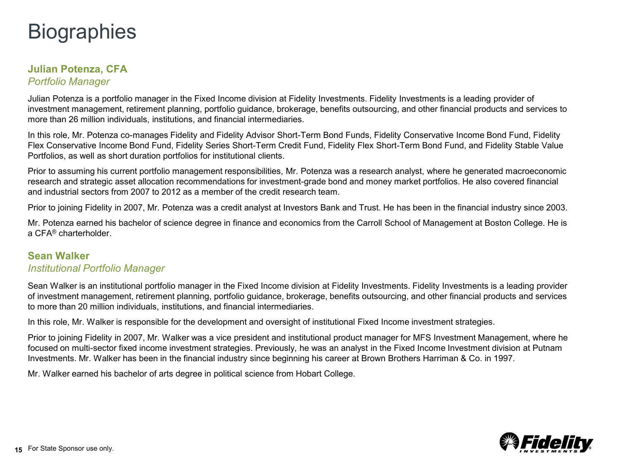# **Biographies**

## **Julian Potenza, CFA** *Portfolio Manager*

Julian Potenza is a portfolio manager in the Fixed Income division at Fidelity Investments. Fidelity Investments is a leading provider of investment management, retirement planning, portfolio guidance, brokerage, benefits outsourcing, and other financial products and services to more than 26 million individuals, institutions, and financial intermediaries.

In this role, Mr. Potenza co-manages Fidelity and Fidelity Advisor Short-Term Bond Funds, Fidelity Conservative Income Bond Fund, Fidelity Flex Conservative Income Bond Fund, Fidelity Series Short-Term Credit Fund, Fidelity Flex Short-Term Bond Fund, and Fidelity Stable Value Portfolios, as well as short duration portfolios for institutional clients.

Prior to assuming his current portfolio management responsibilities, Mr. Potenza was a research analyst, where he generated macroeconomic research and strategic asset allocation recommendations for investment-grade bond and money market portfolios. He also covered financial and industrial sectors from 2007 to 2012 as a member of the credit research team.

Prior to joining Fidelity in 2007, Mr. Potenza was a credit analyst at Investors Bank and Trust. He has been in the financial industry since 2003.

Mr. Potenza earned his bachelor of science degree in finance and economics from the Carroll School of Management at Boston College. He is a CFA® charterholder.

## **Sean Walker** *Institutional Portfolio Manager*

Sean Walker is an institutional portfolio manager in the Fixed Income division at Fidelity Investments. Fidelity Investments is a leading provider of investment management, retirement planning, portfolio guidance, brokerage, benefits outsourcing, and other financial products and services to more than 20 million individuals, institutions, and financial intermediaries.

In this role, Mr. Walker is responsible for the development and oversight of institutional Fixed Income investment strategies.

Prior to joining Fidelity in 2007, Mr. Walker was a vice president and institutional product manager for MFS Investment Management, where he focused on multi-sector fixed income investment strategies. Previously, he was an analyst in the Fixed Income Investment division at Putnam Investments. Mr. Walker has been in the financial industry since beginning his career at Brown Brothers Harriman & Co. in 1997.

Mr. Walker earned his bachelor of arts degree in political science from Hobart College.

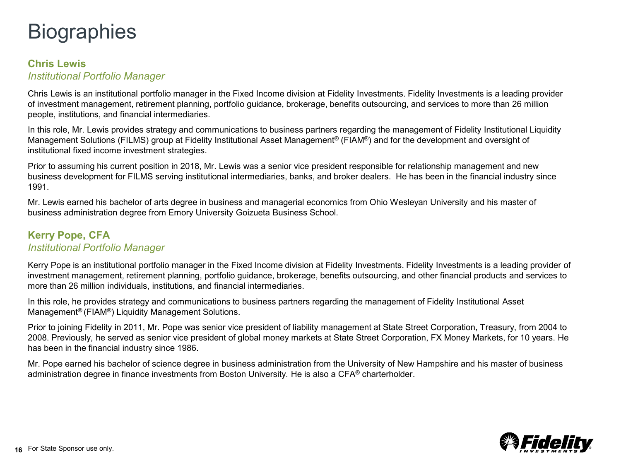# **Biographies**

### **Chris Lewis** *Institutional Portfolio Manager*

Chris Lewis is an institutional portfolio manager in the Fixed Income division at Fidelity Investments. Fidelity Investments is a leading provider of investment management, retirement planning, portfolio guidance, brokerage, benefits outsourcing, and services to more than 26 million people, institutions, and financial intermediaries.

In this role, Mr. Lewis provides strategy and communications to business partners regarding the management of Fidelity Institutional Liquidity Management Solutions (FILMS) group at Fidelity Institutional Asset Management® (FIAM®) and for the development and oversight of institutional fixed income investment strategies.

Prior to assuming his current position in 2018, Mr. Lewis was a senior vice president responsible for relationship management and new business development for FILMS serving institutional intermediaries, banks, and broker dealers. He has been in the financial industry since 1991.

Mr. Lewis earned his bachelor of arts degree in business and managerial economics from Ohio Wesleyan University and his master of business administration degree from Emory University Goizueta Business School.

### **Kerry Pope, CFA** *Institutional Portfolio Manager*

Kerry Pope is an institutional portfolio manager in the Fixed Income division at Fidelity Investments. Fidelity Investments is a leading provider of investment management, retirement planning, portfolio guidance, brokerage, benefits outsourcing, and other financial products and services to more than 26 million individuals, institutions, and financial intermediaries.

In this role, he provides strategy and communications to business partners regarding the management of Fidelity Institutional Asset Management® (FIAM®) Liquidity Management Solutions.

Prior to joining Fidelity in 2011, Mr. Pope was senior vice president of liability management at State Street Corporation, Treasury, from 2004 to 2008. Previously, he served as senior vice president of global money markets at State Street Corporation, FX Money Markets, for 10 years. He has been in the financial industry since 1986.

Mr. Pope earned his bachelor of science degree in business administration from the University of New Hampshire and his master of business administration degree in finance investments from Boston University. He is also a CFA® charterholder.

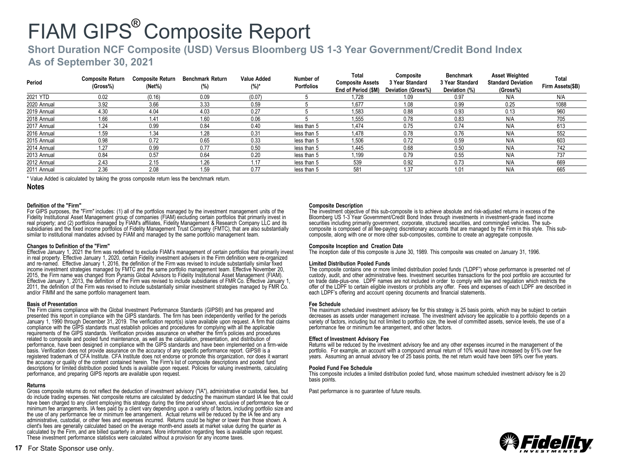## **Short Duration NCF Composite (USD) Versus Bloomberg US 1-3 Year Government/Credit Bond Index**

### **As of September 30, 2021**

| Period      | <b>Composite Return</b><br>(Gross%) | <b>Composite Return</b><br>(Net%) | <b>Benchmark Return</b><br>(%) | <b>Value Added</b><br>$(%)^*$ | Number of<br>Portfolios | Total<br><b>Composite Assets</b><br>End of Period (\$M) | Composite<br>3 Year Standard<br>Deviation (Gross%) | <b>Benchmark</b><br>3 Year Standard<br>Deviation (%) | <b>Asset Weighted</b><br><b>Standard Deviation</b><br>(Gross%) | Total<br>Firm Assets(\$B) |
|-------------|-------------------------------------|-----------------------------------|--------------------------------|-------------------------------|-------------------------|---------------------------------------------------------|----------------------------------------------------|------------------------------------------------------|----------------------------------------------------------------|---------------------------|
| 2021 YTD    | 0.02                                | (0.16)                            | 0.09                           | (0.07)                        |                         | 1.728                                                   | 1.09                                               | 0.97                                                 | N/A                                                            | N/A                       |
| 2020 Annual | 3.92                                | 3.66                              | 3.33                           | 0.59                          |                         | 1.677                                                   | 1.08                                               | 0.99                                                 | 0.25                                                           | 1088                      |
| 2019 Annual | 4.30                                | 4.04                              | 4.03                           | 0.27                          |                         | 1.583                                                   | 0.88                                               | 0.93                                                 | 0.13                                                           | 960                       |
| 2018 Annual | 1.66                                | 1.41                              | 1.60                           | 0.06                          |                         | 1,555                                                   | 0.78                                               | 0.83                                                 | N/A                                                            | 705                       |
| 2017 Annual | 1.24                                | 0.99                              | 0.84                           | 0.40                          | less than 5             | 1.474                                                   | 0.75                                               | 0.74                                                 | N/A                                                            | 613                       |
| 2016 Annual | l.59                                | 1.34                              | 1.28                           | 0.31                          | less than 5             | 1.478                                                   | 0.78                                               | 0.76                                                 | N/A                                                            | 552                       |
| 2015 Annual | 0.98                                | 0.72                              | 0.65                           | 0.33                          | less than 5             | 1.506                                                   | 0.72                                               | 0.59                                                 | N/A                                                            | 603                       |
| 2014 Annual | 1.27                                | 0.99                              | 0.77                           | 0.50                          | less than 5             | 1.445                                                   | 0.68                                               | 0.50                                                 | N/A                                                            | 742                       |
| 2013 Annual | 0.84                                | 0.57                              | 0.64                           | 0.20                          | less than 5             | i,199                                                   | 0.79                                               | 0.55                                                 | N/A                                                            | 737                       |
| 2012 Annual | 2.43                                | 2.15                              | 1.26                           | 1.17                          | less than 5             | 539                                                     | 0.92                                               | 0.73                                                 | N/A                                                            | 669                       |
| 2011 Annual | 2.36                                | 2.08                              | 1.59                           | 0.77                          | less than 5             | 581                                                     | 1.37                                               | 1.01                                                 | N/A                                                            | 665                       |

\* Value Added is calculated by taking the gross composite return less the benchmark return.

#### **Notes**

#### **Definition of the "Firm"**

For GIPS purposes, the "Firm" includes: (1) all of the portfolios managed by the investment management units of the Fidelity Institutional Asset Management group of companies (FIAM) excluding certain portfolios that primarily invest in real property; and (2) portfolios managed by FIAM's affiliates, Fidelity Management & Research Company LLC and its subsidiaries and the fixed income portfolios of Fidelity Management Trust Company (FMTC), that are also substantially similar to institutional mandates advised by FIAM and managed by the same portfolio management team.

#### **Changes to Definition of the "Firm"**

Effective January 1, 2021 the firm was redefined to exclude FIAM's management of certain portfolios that primarily invest in real property. Effective January 1, 2020, certain Fidelity investment advisers in the Firm definition were re-organized and re-named. Effective January 1, 2016, the definition of the Firm was revised to include substantially similar fixed income investment strategies managed by FMTC and the same portfolio management team. Effective November 20, 2015, the Firm name was changed from Pyramis Global Advisors to Fidelity Institutional Asset Management (FIAM). Effective January 1, 2013, the definition of the Firm was revised to include subsidiaries of FMR Co. Effective January 1, 2011, the definition of the Firm was revised to include substantially similar investment strategies managed by FMR Co. and/or FIMM and the same portfolio management team.

#### **Basis of Presentation**

The Firm claims compliance with the Global Investment Performance Standards (GIPS®) and has prepared and presented this report in compliance with the GIPS standards. The firm has been independently verified for the periods January 1, 1990 through December 31, 2019. The verification report(s) is/are available upon request. A firm that claims compliance with the GIPS standards must establish policies and procedures for complying with all the applicable requirements of the GIPS standards. Verification provides assurance on whether the firm's policies and procedures related to composite and pooled fund maintenance, as well as the calculation, presentation, and distribution of performance, have been designed in compliance with the GIPS standards and have been implemented on a firm-wide basis. Verification does not provide assurance on the accuracy of any specific performance report. GIPS® is a registered trademark of CFA Institute. CFA Institute does not endorse or promote this organization, nor does it warrant the accuracy or quality of the content contained herein. The Firm's list of composite descriptions and pooled fund descriptions for limited distribution pooled funds is available upon request. Policies for valuing investments, calculating performance, and preparing GIPS reports are available upon request.

#### **Returns**

Gross composite returns do not reflect the deduction of investment advisory ("IA"), administrative or custodial fees, but do include trading expenses. Net composite returns are calculated by deducting the maximum standard IA fee that could have been charged to any client employing this strategy during the time period shown, exclusive of performance fee or minimum fee arrangements. IA fees paid by a client vary depending upon a variety of factors, including portfolio size and the use of any performance fee or minimum fee arrangement. Actual returns will be reduced by the IA fee and any administrative, custodial, or other fees and expenses incurred. Returns could be higher or lower than those shown. A client's fees are generally calculated based on the average month-end assets at market value during the quarter as calculated by the Firm, and are billed quarterly in arrears. More information regarding fees is available upon request. These investment performance statistics were calculated without a provision for any income taxes.

#### **Composite Description**

The investment objective of this sub-composite is to achieve absolute and risk-adjusted returns in excess of the Bloomberg US 1-3 Year Government/Credit Bond Index through investments in investment-grade fixed income securities including primarily government, corporate, structured securities, and commingled vehicles. The subcomposite is composed of all fee-paying discretionary accounts that are managed by the Firm in this style. This sub-composite, along with one or more other sub-composites, combine to create an aggregate composite.

#### **Composite Inception and Creation Date**

The inception date of this composite is June 30, 1989. This composite was created on January 31, 1996.

#### **Limited Distribution Pooled Funds**

The composite contains one or more limited distribution pooled funds ("LDPF") whose performance is presented net of custody, audit, and other administrative fees. Investment securities transactions for the pool portfolio are accounted for on trade date-plus-one. LDPF names are not included in order to comply with law and regulation which restricts the offer of the LDPF to certain eligible investors or prohibits any offer. Fees and expenses of each LDPF are described in each LDPF's offering and account opening documents and financial statements.

#### **Fee Schedule**

The maximum scheduled investment advisory fee for this strategy is 25 basis points, which may be subject to certain decreases as assets under management increase. The investment advisory fee applicable to a portfolio depends on a variety of factors, including but not limited to portfolio size, the level of committed assets, service levels, the use of a performance fee or minimum fee arrangement, and other factors.

#### **Effect of Investment Advisory Fee**

Returns will be reduced by the investment advisory fee and any other expenses incurred in the management of the portfolio. For example, an account with a compound annual return of 10% would have increased by 61% over five years. Assuming an annual advisory fee of 25 basis points, the net return would have been 59% over five years.

#### **Pooled Fund Fee Schedule**

This composite includes a limited distribution pooled fund, whose maximum scheduled investment advisory fee is 20 basis points.

Past performance is no guarantee of future results.

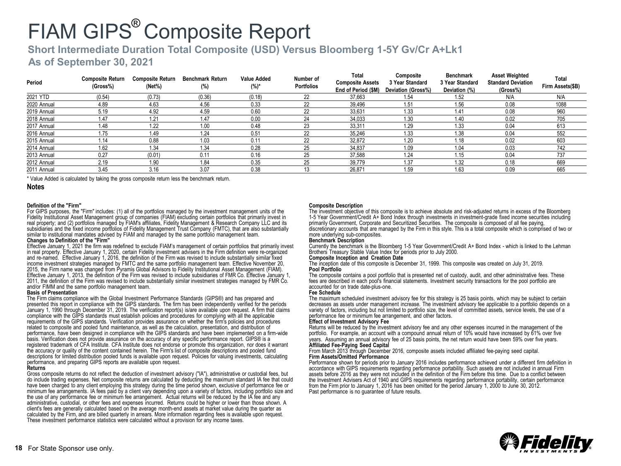## **Short Intermediate Duration Total Composite (USD) Versus Bloomberg 1-5Y Gv/Cr A+Lk1**

### **As of September 30, 2021**

| Period      | <b>Composite Return</b><br>(Gross%) | <b>Composite Return</b><br>$(Net\%)$ | <b>Benchmark Return</b><br>(%) | Value Added<br>(%)* | Number of<br><b>Portfolios</b> | Total<br><b>Composite Assets</b><br>End of Period (\$M) | Composite<br>3 Year Standard<br>Deviation (Gross%) | <b>Benchmark</b><br>3 Year Standard<br>Deviation (%) | <b>Asset Weighted</b><br><b>Standard Deviation</b><br>(Gross%) | Total<br>Firm Assets(\$B) |
|-------------|-------------------------------------|--------------------------------------|--------------------------------|---------------------|--------------------------------|---------------------------------------------------------|----------------------------------------------------|------------------------------------------------------|----------------------------------------------------------------|---------------------------|
| 2021 YTD    | (0.54)                              | (0.73)                               | (0.36)                         | (0.18)              | 22                             | 37.663                                                  | 1.54                                               | 1.52                                                 | N/A                                                            | N/A                       |
| 2020 Annual | 4.89                                | 4.63                                 | 4.56                           | 0.33                | 22                             | 39,496                                                  | 1.51                                               | 1.56                                                 | 0.08                                                           | 1088                      |
| 2019 Annual | 5.19                                | 4.92                                 | 4.59                           | 0.60                | 22                             | 33.631                                                  | 1.33                                               | 1.41                                                 | 0.08                                                           | 960                       |
| 2018 Annual | 1.47                                | $1.2^{\circ}$                        | 1.47                           | 0.00                | 24                             | 34.033                                                  | 1.30                                               | 1.40                                                 | 0.02                                                           | 705                       |
| 2017 Annual | 1.48                                | 1.22                                 | 1.00                           | 0.48                | 23                             | 33,311                                                  | 1.29                                               | 1.33                                                 | 0.04                                                           | 613                       |
| 2016 Annual | 1.75                                | 1.49                                 | 1.24                           | 0.51                | 22                             | 35,246                                                  | 1.33                                               | 1.38                                                 | 0.04                                                           | 552                       |
| 2015 Annual | 1.14                                | 0.88                                 | 1.03                           | 0.11                | 22                             | 32,872                                                  | 1.20                                               | 1.18                                                 | 0.02                                                           | 603                       |
| 2014 Annual | 1.62                                | 1.34                                 | 1.34                           | 0.28                | 25                             | 34.837                                                  | 1.09                                               | 1.04                                                 | 0.03                                                           | 742                       |
| 2013 Annual | 0.27                                | (0.01)                               | 0.11                           | 0.16                | 25                             | 37.588                                                  | 1.24                                               | 1.15                                                 | 0.04                                                           | 737                       |
| 2012 Annual | 2.19                                | 1.90                                 | 1.84                           | 0.35                | 25                             | 39.779                                                  | 1.37                                               | 1.32                                                 | 0.18                                                           | 669                       |
| 2011 Annual | 3.45                                | 3.16                                 | 3.07                           | 0.38                |                                | 26.871                                                  | 1.59                                               | 1.63                                                 | 0.09                                                           | 665                       |

\* Value Added is calculated by taking the gross composite return less the benchmark return.

#### **Notes**

#### **Definition of the "Firm"**

For GIPS purposes, the "Firm" includes: (1) all of the portfolios managed by the investment management units of the Fidelity Institutional Asset Management group of companies (FIAM) excluding certain portfolios that primarily invest in real property; and (2) portfolios managed by FIAM's affiliates, Fidelity Management & Research Company LLC and its subsidiaries and the fixed income portfolios of Fidelity Management Trust Company (FMTC), that are also substantially similar to institutional mandates advised by FIAM and managed by the same portfolio management team.

#### **Changes to Definition of the "Firm"**

Effective January 1, 2021 the firm was redefined to exclude FIAM's management of certain portfolios that primarily invest in real property. Effective January 1, 2020, certain Fidelity investment advisers in the Firm definition were re-organized and re-named. Effective January 1, 2016, the definition of the Firm was revised to include substantially similar fixed income investment strategies managed by FMTC and the same portfolio management team. Effective November 20, 2015, the Firm name was changed from Pyramis Global Advisors to Fidelity Institutional Asset Management (FIAM). Effective January 1, 2013, the definition of the Firm was revised to include subsidiaries of FMR Co. Effective January 1, 2011, the definition of the Firm was revised to include substantially similar investment strategies managed by FMR Co. and/or FIMM and the same portfolio management team.

#### **Basis of Presentation**

The Firm claims compliance with the Global Investment Performance Standards (GIPS®) and has prepared and presented this report in compliance with the GIPS standards. The firm has been independently verified for the periods January 1, 1990 through December 31, 2019. The verification report(s) is/are available upon request. A firm that claims compliance with the GIPS standards must establish policies and procedures for complying with all the applicable requirements of the GIPS standards. Verification provides assurance on whether the firm's policies and procedures related to composite and pooled fund maintenance, as well as the calculation, presentation, and distribution of performance, have been designed in compliance with the GIPS standards and have been implemented on a firm-wide basis. Verification does not provide assurance on the accuracy of any specific performance report. GIPS® is a registered trademark of CFA Institute. CFA Institute does not endorse or promote this organization, nor does it warrant the accuracy or quality of the content contained herein. The Firm's list of composite descriptions and pooled fund descriptions for limited distribution pooled funds is available upon request. Policies for valuing investments, calculating performance, and preparing GIPS reports are available upon request.

#### **Returns**

Gross composite returns do not reflect the deduction of investment advisory ("IA"), administrative or custodial fees, but do include trading expenses. Net composite returns are calculated by deducting the maximum standard IA fee that could have been charged to any client employing this strategy during the time period shown, exclusive of performance fee or minimum fee arrangements. IA fees paid by a client vary depending upon a variety of factors, including portfolio size and the use of any performance fee or minimum fee arrangement. Actual returns will be reduced by the IA fee and any administrative, custodial, or other fees and expenses incurred. Returns could be higher or lower than those shown. A client's fees are generally calculated based on the average month-end assets at market value during the quarter as calculated by the Firm, and are billed quarterly in arrears. More information regarding fees is available upon request. These investment performance statistics were calculated without a provision for any income taxes.

#### **Composite Description**

The investment objective of this composite is to achieve absolute and risk-adjusted returns in excess of the Bloomberg 1-5 Year Government/Credit A+ Bond Index through investments in investment-grade fixed income securities including primarily Government, Corporate and Securitized Securities. The composite is composed of all fee paying, discretionary accounts that are managed by the Firm in this style. This is a total composite which is comprised of two or more underlying sub-composites.

#### **Benchmark Description**

Currently the benchmark is the Bloomberg 1-5 Year Government/Credit A+ Bond Index - which is linked to the Lehman Brothers Treasury Stable Value Index for periods prior to July 2000.

#### **Composite Inception and Creation Date**

The inception date of this composite is December 31, 1999. This composite was created on July 31, 2019. **Pool Portfolio**

The composite contains a pool portfolio that is presented net of custody, audit, and other administrative fees. These fees are described in each pool's financial statements. Investment security transactions for the pool portfolio are accounted for on trade date-plus-one. **Fee Schedule**

The maximum scheduled investment advisory fee for this strategy is 25 basis points, which may be subject to certain decreases as assets under management increase. The investment advisory fee applicable to a portfolio depends on a variety of factors, including but not limited to portfolio size, the level of committed assets, service levels, the use of a performance fee or minimum fee arrangement, and other factors.

#### **Effect of Investment Advisory Fee**

Returns will be reduced by the investment advisory fee and any other expenses incurred in the management of the portfolio. For example, an account with a compound annual return of 10% would have increased by 61% over five years. Assuming an annual advisory fee of 25 basis points, the net return would have been 59% over five years. **Affiliated Fee-Paying Seed Capital**

#### From March 2013 through December 2016, composite assets included affiliated fee-paying seed capital. **Firm Assets/Omitted Performance**

Performance shown for periods prior to January 2016 includes performance achieved under a different firm definition in accordance with GIPS requirements regarding performance portability. Such assets are not included in annual Firm assets before 2016 as they were not included in the definition of the Firm before this time. Due to a conflict between the Investment Advisers Act of 1940 and GIPS requirements regarding performance portability, certain performance from the Firm prior to January 1, 2016 has been omitted for the period January 1, 2000 to June 30, 2012. Past performance is no guarantee of future results.

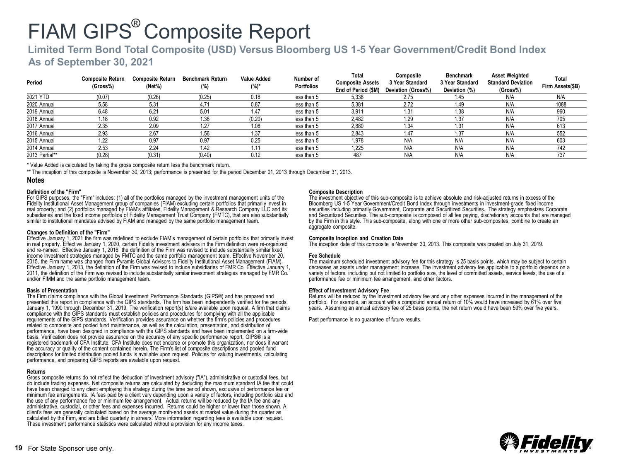## **Limited Term Bond Total Composite (USD) Versus Bloomberg US 1-5 Year Government/Credit Bond Index**

**As of September 30, 2021**

| Period         | <b>Composite Return</b><br>(Gross%) | <b>Composite Return</b><br>(Net%) | <b>Benchmark Return</b><br>(%) | Value Added<br>$(%)^*$ | Number of<br><b>Portfolios</b> | Total<br><b>Composite Assets</b><br>End of Period (\$M) | Composite<br>3 Year Standard<br>Deviation (Gross%) | <b>Benchmark</b><br>3 Year Standard<br>Deviation (%) | <b>Asset Weighted</b><br><b>Standard Deviation</b><br>(Gross%) | Total<br>Firm Assets(\$B) |
|----------------|-------------------------------------|-----------------------------------|--------------------------------|------------------------|--------------------------------|---------------------------------------------------------|----------------------------------------------------|------------------------------------------------------|----------------------------------------------------------------|---------------------------|
| 2021 YTD       | (0.07)                              | (0.26)                            | (0.25)                         | 0.18                   | less than 5                    | 5,338                                                   | 2.75                                               | 1.45                                                 | N/A                                                            | N/A                       |
| 2020 Annual    | 5.58                                | 5.31                              | 4.71                           | 0.87                   | less than 5                    | 5,381                                                   | 2.72                                               | 1.49                                                 | N/A                                                            | 1088                      |
| 2019 Annual    | 6.48                                | 6.21                              | 5.01                           | 1.47                   | less than 5                    | 3,911                                                   | 1.31                                               | 1.38                                                 | N/A                                                            | 960                       |
| 2018 Annual    | 1.18                                | 0.92                              | 1.38                           | (0.20)                 | less than 5                    | 2,482                                                   | 1.29                                               | 1.37                                                 | N/A                                                            | 705                       |
| 2017 Annual    | 2.35                                | 2.09                              | 1.27                           | 1.08                   | less than 5                    | 2,880                                                   | 1.34                                               | 1.31                                                 | N/A                                                            | 613                       |
| 2016 Annual    | 2.93                                | 2.67                              | 1.56                           | 1.37                   | less than 5                    | 2.843                                                   | 1.47                                               | 1.37                                                 | N/A                                                            | 552                       |
| 2015 Annual    | 1.22                                | 0.97                              | 0.97                           | 0.25                   | less than 5                    | 1.978                                                   | N/A                                                | N/A                                                  | N/A                                                            | 603                       |
| 2014 Annual    | 2.53                                | 2.24                              | 1.42                           | 1.11                   | less than 5                    | 1.225                                                   | N/A                                                | N/A                                                  | N/A                                                            | 742                       |
| 2013 Partial** | (0.28)                              | (0.31)                            | (0.40)                         | 0.12                   | less than 5                    | 487                                                     | N/A                                                | N/A                                                  | N/A                                                            | 737                       |

\* Value Added is calculated by taking the gross composite return less the benchmark return.

\*\* The inception of this composite is November 30, 2013; performance is presented for the period December 01, 2013 through December 31, 2013.

#### **Notes**

#### **Definition of the "Firm"**

For GIPS purposes, the "Firm" includes: (1) all of the portfolios managed by the investment management units of the Fidelity Institutional Asset Management group of companies (FIAM) excluding certain portfolios that primarily invest in real property; and (2) portfolios managed by FIAM's affiliates, Fidelity Management & Research Company LLC and its subsidiaries and the fixed income portfolios of Fidelity Management Trust Company (FMTC), that are also substantially similar to institutional mandates advised by FIAM and managed by the same portfolio management team.

#### **Changes to Definition of the "Firm"**

Effective January 1, 2021 the firm was redefined to exclude FIAM's management of certain portfolios that primarily invest in real property. Effective January 1, 2020, certain Fidelity investment advisers in the Firm definition were re-organized and re-named. Effective January 1, 2016, the definition of the Firm was revised to include substantially similar fixed income investment strategies managed by FMTC and the same portfolio management team. Effective November 20, 2015, the Firm name was changed from Pyramis Global Advisors to Fidelity Institutional Asset Management (FIAM). Effective January 1, 2013, the definition of the Firm was revised to include subsidiaries of FMR Co. Effective January 1, 2011, the definition of the Firm was revised to include substantially similar investment strategies managed by FMR Co. and/or FIMM and the same portfolio management team.

#### **Basis of Presentation**

The Firm claims compliance with the Global Investment Performance Standards (GIPS®) and has prepared and presented this report in compliance with the GIPS standards. The firm has been independently verified for the periods January 1, 1990 through December 31, 2019. The verification report(s) is/are available upon request. A firm that claims compliance with the GIPS standards must establish policies and procedures for complying with all the applicable requirements of the GIPS standards. Verification provides assurance on whether the firm's policies and procedures related to composite and pooled fund maintenance, as well as the calculation, presentation, and distribution of performance, have been designed in compliance with the GIPS standards and have been implemented on a firm-wide basis. Verification does not provide assurance on the accuracy of any specific performance report. GIPS® is a registered trademark of CFA Institute. CFA Institute does not endorse or promote this organization, nor does it warrant the accuracy or quality of the content contained herein. The Firm's list of composite descriptions and pooled fund descriptions for limited distribution pooled funds is available upon request. Policies for valuing investments, calculating performance, and preparing GIPS reports are available upon request.

#### **Returns**

Gross composite returns do not reflect the deduction of investment advisory ("IA"), administrative or custodial fees, but do include trading expenses. Net composite returns are calculated by deducting the maximum standard IA fee that could have been charged to any client employing this strategy during the time period shown, exclusive of performance fee or minimum fee arrangements. IA fees paid by a client vary depending upon a variety of factors, including portfolio size and the use of any performance fee or minimum fee arrangement. Actual returns will be reduced by the IA fee and any administrative, custodial, or other fees and expenses incurred. Returns could be higher or lower than those shown. A client's fees are generally calculated based on the average month-end assets at market value during the quarter as calculated by the Firm, and are billed quarterly in arrears. More information regarding fees is available upon request. These investment performance statistics were calculated without a provision for any income taxes.

#### **Composite Description**

The investment objective of this sub-composite is to achieve absolute and risk-adjusted returns in excess of the Bloomberg US 1-5 Year Government/Credit Bond Index through investments in investment-grade fixed income securities including primarily Government, Corporate and Securitized Securities. The strategy emphasizes Corporate and Securitized Securities. The sub-composite is composed of all fee paying, discretionary accounts that are managed by the Firm in this style. This sub-composite, along with one or more other sub-composites, combine to create an aggregate composite.

#### **Composite Inception and Creation Date**

The inception date of this composite is November 30, 2013. This composite was created on July 31, 2019.

#### **Fee Schedule**

The maximum scheduled investment advisory fee for this strategy is 25 basis points, which may be subject to certain decreases as assets under management increase. The investment advisory fee applicable to a portfolio depends on a variety of factors, including but not limited to portfolio size, the level of committed assets, service levels, the use of a performance fee or minimum fee arrangement, and other factors.

#### **Effect of Investment Advisory Fee**

Returns will be reduced by the investment advisory fee and any other expenses incurred in the management of the portfolio. For example, an account with a compound annual return of 10% would have increased by 61% over five years. Assuming an annual advisory fee of 25 basis points, the net return would have been 59% over five years.

Past performance is no guarantee of future results.

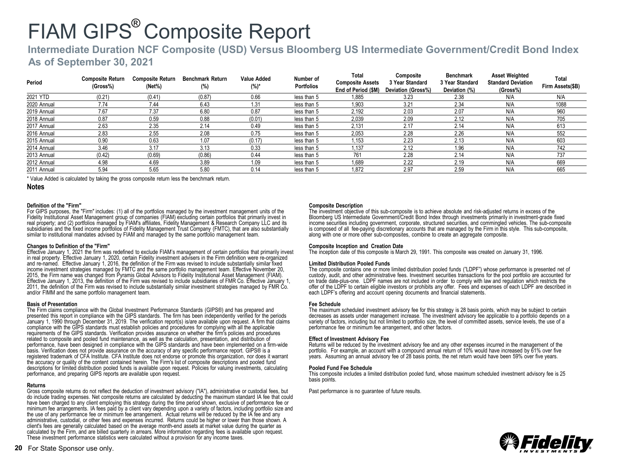## **Intermediate Duration NCF Composite (USD) Versus Bloomberg US Intermediate Government/Credit Bond Index**

### **As of September 30, 2021**

| Period      | <b>Composite Return</b><br>(Gross%) | <b>Composite Return</b><br>$(Net\%)$ | <b>Benchmark Return</b><br>(%) | Value Added<br>(%)* | Number of<br><b>Portfolios</b> | Total<br><b>Composite Assets</b><br>End of Period (\$M) | Composite<br>3 Year Standard<br>Deviation (Gross%) | Benchmark<br>3 Year Standard<br>Deviation (%) | <b>Asset Weighted</b><br><b>Standard Deviation</b><br>(Gross%) | Total<br>Firm Assets(\$B) |
|-------------|-------------------------------------|--------------------------------------|--------------------------------|---------------------|--------------------------------|---------------------------------------------------------|----------------------------------------------------|-----------------------------------------------|----------------------------------------------------------------|---------------------------|
| 2021 YTD    | (0.21)                              | (0.41)                               | (0.87)                         | 0.66                | less than 5                    | 1.885                                                   | 3.23                                               | 2.38                                          | N/A                                                            | N/A                       |
| 2020 Annual | 7.74                                | 7.44                                 | 6.43                           | 1.31                | less than 5                    | 1.903                                                   | 3.21                                               | 2.34                                          | N/A                                                            | 1088                      |
| 2019 Annual | 7.67                                | 7.37                                 | 6.80                           | 0.87                | less than 5                    | 2,192                                                   | 2.03                                               | 2.07                                          | N/A                                                            | 960                       |
| 2018 Annual | 0.87                                | 0.59                                 | 0.88                           | (0.01)              | less than 5                    | 2,039                                                   | 2.09                                               | 2.12                                          | N/A                                                            | 705                       |
| 2017 Annual | 2.63                                | 2.35                                 | 2.14                           | 0.49                | less than 5                    | 2.131                                                   | 2.17                                               | 2.14                                          | N/A                                                            | 613                       |
| 2016 Annual | 2.83                                | 2.55                                 | 2.08                           | 0.75                | less than 5                    | 2.053                                                   | 2.28                                               | 2.26                                          | N/A                                                            | 552                       |
| 2015 Annual | 0.90                                | 0.63                                 | 1.07                           | (0.17)              | less than 5                    | 1,153                                                   | 2.23                                               | 2.13                                          | N/A                                                            | 603                       |
| 2014 Annual | 3.46                                | 3.17                                 | 3.13                           | 0.33                | less than 5                    | 1.137                                                   | 2.12                                               | 1.96                                          | N/A                                                            | 742                       |
| 2013 Annual | (0.42)                              | (0.69)                               | (0.86)                         | 0.44                | less than 5                    | 761                                                     | 2.28                                               | 2.14                                          | N/A                                                            | 737                       |
| 2012 Annual | 4.98                                | 4.69                                 | 3.89                           | 1.09                | less than 5                    | 1,689                                                   | 2.22                                               | 2.19                                          | N/A                                                            | 669                       |
| 2011 Annual | 5.94                                | 5.65                                 | 5.80                           | 0.14                | less than 5                    | 1.872                                                   | 2.97                                               | 2.59                                          | N/A                                                            | 665                       |

\* Value Added is calculated by taking the gross composite return less the benchmark return.

#### **Notes**

#### **Definition of the "Firm"**

For GIPS purposes, the "Firm" includes: (1) all of the portfolios managed by the investment management units of the Fidelity Institutional Asset Management group of companies (FIAM) excluding certain portfolios that primarily invest in real property; and (2) portfolios managed by FIAM's affiliates, Fidelity Management & Research Company LLC and its subsidiaries and the fixed income portfolios of Fidelity Management Trust Company (FMTC), that are also substantially similar to institutional mandates advised by FIAM and managed by the same portfolio management team.

#### **Changes to Definition of the "Firm"**

Effective January 1, 2021 the firm was redefined to exclude FIAM's management of certain portfolios that primarily invest in real property. Effective January 1, 2020, certain Fidelity investment advisers in the Firm definition were re-organized and re-named. Effective January 1, 2016, the definition of the Firm was revised to include substantially similar fixed income investment strategies managed by FMTC and the same portfolio management team. Effective November 20, 2015, the Firm name was changed from Pyramis Global Advisors to Fidelity Institutional Asset Management (FIAM). Effective January 1, 2013, the definition of the Firm was revised to include subsidiaries of FMR Co. Effective January 1, 2011, the definition of the Firm was revised to include substantially similar investment strategies managed by FMR Co. and/or FIMM and the same portfolio management team.

#### **Basis of Presentation**

The Firm claims compliance with the Global Investment Performance Standards (GIPS®) and has prepared and presented this report in compliance with the GIPS standards. The firm has been independently verified for the periods January 1, 1990 through December 31, 2019. The verification report(s) is/are available upon request. A firm that claims compliance with the GIPS standards must establish policies and procedures for complying with all the applicable requirements of the GIPS standards. Verification provides assurance on whether the firm's policies and procedures related to composite and pooled fund maintenance, as well as the calculation, presentation, and distribution of performance, have been designed in compliance with the GIPS standards and have been implemented on a firm-wide basis. Verification does not provide assurance on the accuracy of any specific performance report. GIPS® is a registered trademark of CFA Institute. CFA Institute does not endorse or promote this organization, nor does it warrant the accuracy or quality of the content contained herein. The Firm's list of composite descriptions and pooled fund descriptions for limited distribution pooled funds is available upon request. Policies for valuing investments, calculating performance, and preparing GIPS reports are available upon request.

#### **Returns**

Gross composite returns do not reflect the deduction of investment advisory ("IA"), administrative or custodial fees, but do include trading expenses. Net composite returns are calculated by deducting the maximum standard IA fee that could have been charged to any client employing this strategy during the time period shown, exclusive of performance fee or minimum fee arrangements. IA fees paid by a client vary depending upon a variety of factors, including portfolio size and the use of any performance fee or minimum fee arrangement. Actual returns will be reduced by the IA fee and any administrative, custodial, or other fees and expenses incurred. Returns could be higher or lower than those shown. A client's fees are generally calculated based on the average month-end assets at market value during the quarter as calculated by the Firm, and are billed quarterly in arrears. More information regarding fees is available upon request. These investment performance statistics were calculated without a provision for any income taxes.

#### **Composite Description**

The investment objective of this sub-composite is to achieve absolute and risk-adjusted returns in excess of the Bloomberg US Intermediate Government/Credit Bond Index through investments primarily in investment-grade fixed income securities including government, corporate, structured securities, and commingled vehicles. The sub-composite is composed of all fee-paying discretionary accounts that are managed by the Firm in this style. This sub-composite, along with one or more other sub-composites, combine to create an aggregate composite.

#### **Composite Inception and Creation Date**

The inception date of this composite is March 29, 1991. This composite was created on January 31, 1996.

#### **Limited Distribution Pooled Funds**

The composite contains one or more limited distribution pooled funds ("LDPF") whose performance is presented net of custody, audit, and other administrative fees. Investment securities transactions for the pool portfolio are accounted for on trade date-plus-one. LDPF names are not included in order to comply with law and regulation which restricts the offer of the LDPF to certain eligible investors or prohibits any offer. Fees and expenses of each LDPF are described in each LDPF's offering and account opening documents and financial statements.

#### **Fee Schedule**

The maximum scheduled investment advisory fee for this strategy is 28 basis points, which may be subject to certain decreases as assets under management increase. The investment advisory fee applicable to a portfolio depends on a variety of factors, including but not limited to portfolio size, the level of committed assets, service levels, the use of a performance fee or minimum fee arrangement, and other factors.

#### **Effect of Investment Advisory Fee**

Returns will be reduced by the investment advisory fee and any other expenses incurred in the management of the portfolio. For example, an account with a compound annual return of 10% would have increased by 61% over five years. Assuming an annual advisory fee of 28 basis points, the net return would have been 59% over five years.

#### **Pooled Fund Fee Schedule**

This composite includes a limited distribution pooled fund, whose maximum scheduled investment advisory fee is 25 basis points.

Past performance is no guarantee of future results.